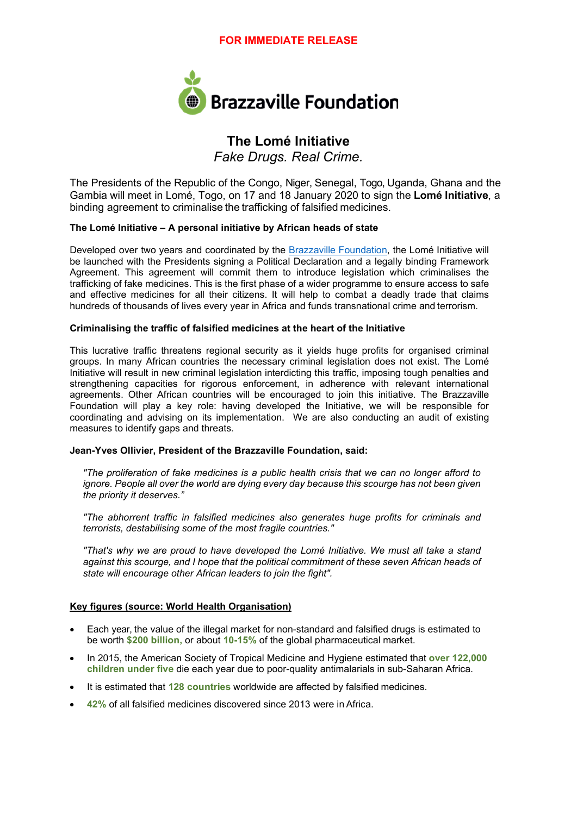

# **The Lomé Initiative**

*Fake Drugs. Real Crime.*

The Presidents of the Republic of the Congo, Niger, Senegal, Togo, Uganda, Ghana and the Gambia will meet in Lomé, Togo, on 17 and 18 January 2020 to sign the **Lomé Initiative**, a binding agreement to criminalise the trafficking of falsified medicines.

### **The Lomé Initiative – A personal initiative by African heads of state**

Developed over two years and coordinated by the [Brazzaville Foundation,](http://brazzavillefoundation.org/en/) the Lomé Initiative will be launched with the Presidents signing a Political Declaration and a legally binding Framework Agreement. This agreement will commit them to introduce legislation which criminalises the trafficking of fake medicines. This is the first phase of a wider programme to ensure access to safe and effective medicines for all their citizens. It will help to combat a deadly trade that claims hundreds of thousands of lives every year in Africa and funds transnational crime and terrorism.

### **Criminalising the traffic of falsified medicines at the heart of the Initiative**

This lucrative traffic threatens regional security as it yields huge profits for organised criminal groups. In many African countries the necessary criminal legislation does not exist. The Lomé Initiative will result in new criminal legislation interdicting this traffic, imposing tough penalties and strengthening capacities for rigorous enforcement, in adherence with relevant international agreements. Other African countries will be encouraged to join this initiative. The Brazzaville Foundation will play a key role: having developed the Initiative, we will be responsible for coordinating and advising on its implementation. We are also conducting an audit of existing measures to identify gaps and threats.

### **Jean-Yves Ollivier, President of the Brazzaville Foundation, said:**

*"The proliferation of fake medicines is a public health crisis that we can no longer afford to ignore. People all over the world are dying every day because this scourge has not been given the priority it deserves."*

*"The abhorrent traffic in falsified medicines also generates huge profits for criminals and terrorists, destabilising some of the most fragile countries."*

*"That's why we are proud to have developed the Lomé Initiative. We must all take a stand against this scourge, and I hope that the political commitment of these seven African heads of state will encourage other African leaders to join the fight".*

### **Key figures (source: World Health Organisation)**

- Each year, the value of the illegal market for non-standard and falsified drugs is estimated to be worth **\$200 billion,** or about **10-15%** of the global pharmaceutical market.
- In 2015, the American Society of Tropical Medicine and Hygiene estimated that **over 122,000 children under five** die each year due to poor-quality antimalarials in sub-Saharan Africa.
- It is estimated that **128 countries** worldwide are affected by falsified medicines.
- **42%** of all falsified medicines discovered since 2013 were in Africa.